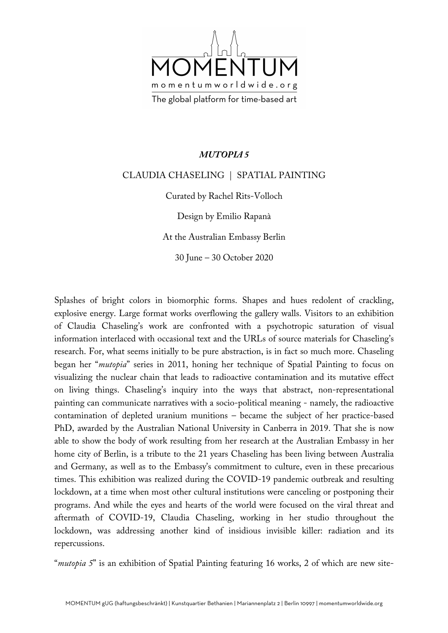

## *MUTOPIA 5*

## CLAUDIA CHASELING | SPATIAL PAINTING

Curated by Rachel Rits-Volloch

Design by Emilio Rapanà

At the Australian Embassy Berlin

30 June – 30 October 2020

Splashes of bright colors in biomorphic forms. Shapes and hues redolent of crackling, explosive energy. Large format works overflowing the gallery walls. Visitors to an exhibition of Claudia Chaseling's work are confronted with a psychotropic saturation of visual information interlaced with occasional text and the URLs of source materials for Chaseling's research. For, what seems initially to be pure abstraction, is in fact so much more. Chaseling began her "*mutopia*" series in 2011, honing her technique of Spatial Painting to focus on visualizing the nuclear chain that leads to radioactive contamination and its mutative effect on living things. Chaseling's inquiry into the ways that abstract, non-representational painting can communicate narratives with a socio-political meaning - namely, the radioactive contamination of depleted uranium munitions – became the subject of her practice-based PhD, awarded by the Australian National University in Canberra in 2019. That she is now able to show the body of work resulting from her research at the Australian Embassy in her home city of Berlin, is a tribute to the 21 years Chaseling has been living between Australia and Germany, as well as to the Embassy's commitment to culture, even in these precarious times. This exhibition was realized during the COVID-19 pandemic outbreak and resulting lockdown, at a time when most other cultural institutions were canceling or postponing their programs. And while the eyes and hearts of the world were focused on the viral threat and aftermath of COVID-19, Claudia Chaseling, working in her studio throughout the lockdown, was addressing another kind of insidious invisible killer: radiation and its repercussions.

"*mutopia 5*" is an exhibition of Spatial Painting featuring 16 works, 2 of which are new site-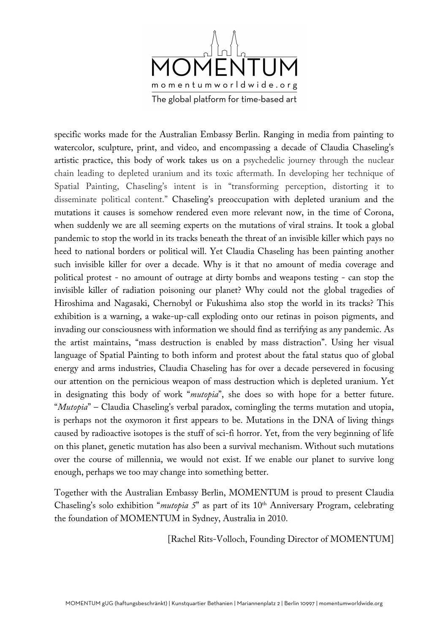

specific works made for the Australian Embassy Berlin. Ranging in media from painting to watercolor, sculpture, print, and video, and encompassing a decade of Claudia Chaseling's artistic practice, this body of work takes us on a psychedelic journey through the nuclear chain leading to depleted uranium and its toxic aftermath. In developing her technique of Spatial Painting, Chaseling's intent is in "transforming perception, distorting it to disseminate political content." Chaseling's preoccupation with depleted uranium and the mutations it causes is somehow rendered even more relevant now, in the time of Corona, when suddenly we are all seeming experts on the mutations of viral strains. It took a global pandemic to stop the world in its tracks beneath the threat of an invisible killer which pays no heed to national borders or political will. Yet Claudia Chaseling has been painting another such invisible killer for over a decade. Why is it that no amount of media coverage and political protest - no amount of outrage at dirty bombs and weapons testing - can stop the invisible killer of radiation poisoning our planet? Why could not the global tragedies of Hiroshima and Nagasaki, Chernobyl or Fukushima also stop the world in its tracks? This exhibition is a warning, a wake-up-call exploding onto our retinas in poison pigments, and invading our consciousness with information we should find as terrifying as any pandemic. As the artist maintains, "mass destruction is enabled by mass distraction". Using her visual language of Spatial Painting to both inform and protest about the fatal status quo of global energy and arms industries, Claudia Chaseling has for over a decade persevered in focusing our attention on the pernicious weapon of mass destruction which is depleted uranium. Yet in designating this body of work "*mutopia*", she does so with hope for a better future. "*Mutopia*" – Claudia Chaseling's verbal paradox, comingling the terms mutation and utopia, is perhaps not the oxymoron it first appears to be. Mutations in the DNA of living things caused by radioactive isotopes is the stuff of sci-fi horror. Yet, from the very beginning of life on this planet, genetic mutation has also been a survival mechanism. Without such mutations over the course of millennia, we would not exist. If we enable our planet to survive long enough, perhaps we too may change into something better.

Together with the Australian Embassy Berlin, MOMENTUM is proud to present Claudia Chaseling's solo exhibition "*mutopia 5*" as part of its 10<sup>th</sup> Anniversary Program, celebrating the foundation of MOMENTUM in Sydney, Australia in 2010.

[Rachel Rits-Volloch, Founding Director of MOMENTUM]